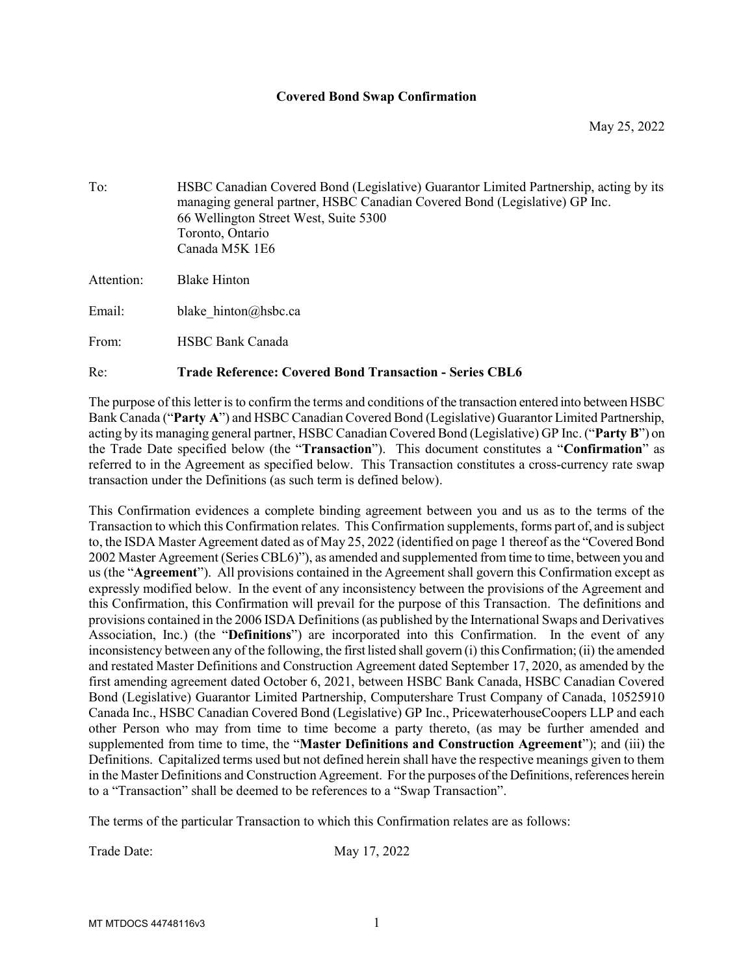## Covered Bond Swap Confirmation

To: HSBC Canadian Covered Bond (Legislative) Guarantor Limited Partnership, acting by its managing general partner, HSBC Canadian Covered Bond (Legislative) GP Inc. 66 Wellington Street West, Suite 5300 Toronto, Ontario Canada M5K 1E6 Attention: Blake Hinton Email: blake hinton@hsbc.ca From: HSBC Bank Canada

Re: Trade Reference: Covered Bond Transaction - Series CBL6

The purpose of this letter is to confirm the terms and conditions of the transaction entered into between HSBC Bank Canada ("Party A") and HSBC Canadian Covered Bond (Legislative) Guarantor Limited Partnership, acting by its managing general partner, HSBC Canadian Covered Bond (Legislative) GP Inc. ("Party B") on the Trade Date specified below (the "Transaction"). This document constitutes a "Confirmation" as referred to in the Agreement as specified below. This Transaction constitutes a cross-currency rate swap transaction under the Definitions (as such term is defined below).

This Confirmation evidences a complete binding agreement between you and us as to the terms of the Transaction to which this Confirmation relates. This Confirmation supplements, forms part of, and is subject to, the ISDA Master Agreement dated as of May 25, 2022 (identified on page 1 thereof as the "Covered Bond 2002 Master Agreement (Series CBL6)"), as amended and supplemented from time to time, between you and us (the "Agreement"). All provisions contained in the Agreement shall govern this Confirmation except as expressly modified below. In the event of any inconsistency between the provisions of the Agreement and this Confirmation, this Confirmation will prevail for the purpose of this Transaction. The definitions and provisions contained in the 2006 ISDA Definitions (as published by the International Swaps and Derivatives Association, Inc.) (the "Definitions") are incorporated into this Confirmation. In the event of any inconsistency between any of the following, the first listed shall govern (i) this Confirmation; (ii) the amended and restated Master Definitions and Construction Agreement dated September 17, 2020, as amended by the first amending agreement dated October 6, 2021, between HSBC Bank Canada, HSBC Canadian Covered Bond (Legislative) Guarantor Limited Partnership, Computershare Trust Company of Canada, 10525910 Canada Inc., HSBC Canadian Covered Bond (Legislative) GP Inc., PricewaterhouseCoopers LLP and each other Person who may from time to time become a party thereto, (as may be further amended and supplemented from time to time, the "Master Definitions and Construction Agreement"); and (iii) the Definitions. Capitalized terms used but not defined herein shall have the respective meanings given to them in the Master Definitions and Construction Agreement. For the purposes of the Definitions, references herein to a "Transaction" shall be deemed to be references to a "Swap Transaction".

The terms of the particular Transaction to which this Confirmation relates are as follows:

Trade Date: May 17, 2022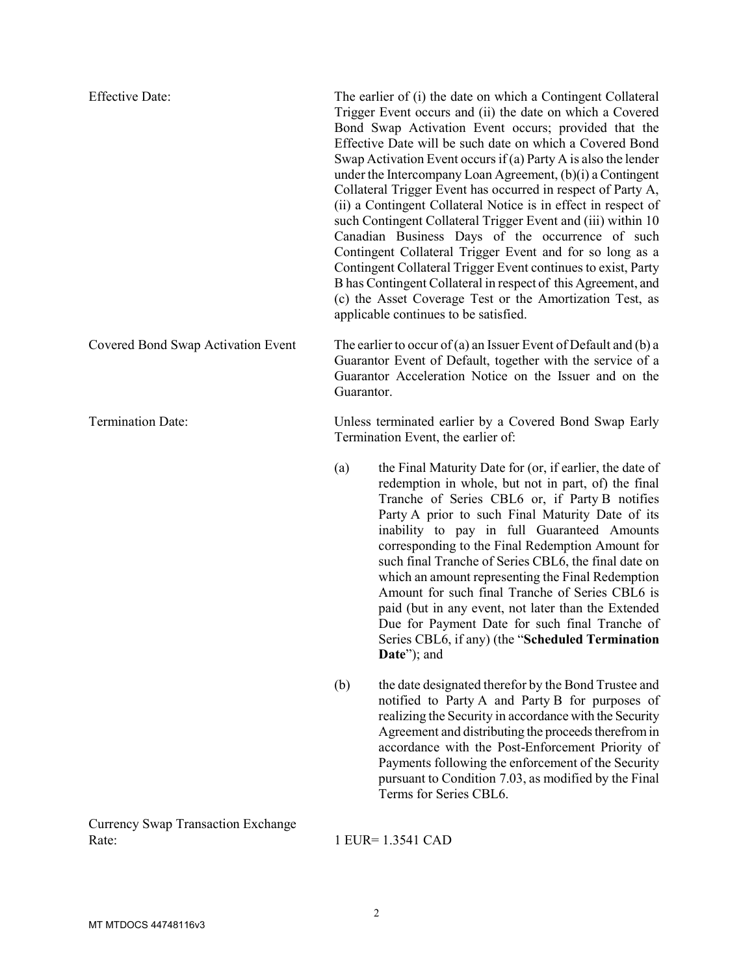| <b>Effective Date:</b>                             | The earlier of (i) the date on which a Contingent Collateral<br>Trigger Event occurs and (ii) the date on which a Covered<br>Bond Swap Activation Event occurs; provided that the<br>Effective Date will be such date on which a Covered Bond<br>Swap Activation Event occurs if (a) Party A is also the lender<br>under the Intercompany Loan Agreement, $(b)(i)$ a Contingent<br>Collateral Trigger Event has occurred in respect of Party A,<br>(ii) a Contingent Collateral Notice is in effect in respect of<br>such Contingent Collateral Trigger Event and (iii) within 10<br>Canadian Business Days of the occurrence of such<br>Contingent Collateral Trigger Event and for so long as a<br>Contingent Collateral Trigger Event continues to exist, Party<br>B has Contingent Collateral in respect of this Agreement, and<br>(c) the Asset Coverage Test or the Amortization Test, as<br>applicable continues to be satisfied. |                                                                                                                                                                                                                                                                                                                                                                                                                                                                                                                                                                                                                                                                      |
|----------------------------------------------------|------------------------------------------------------------------------------------------------------------------------------------------------------------------------------------------------------------------------------------------------------------------------------------------------------------------------------------------------------------------------------------------------------------------------------------------------------------------------------------------------------------------------------------------------------------------------------------------------------------------------------------------------------------------------------------------------------------------------------------------------------------------------------------------------------------------------------------------------------------------------------------------------------------------------------------------|----------------------------------------------------------------------------------------------------------------------------------------------------------------------------------------------------------------------------------------------------------------------------------------------------------------------------------------------------------------------------------------------------------------------------------------------------------------------------------------------------------------------------------------------------------------------------------------------------------------------------------------------------------------------|
| Covered Bond Swap Activation Event                 | The earlier to occur of (a) an Issuer Event of Default and (b) a<br>Guarantor Event of Default, together with the service of a<br>Guarantor Acceleration Notice on the Issuer and on the<br>Guarantor.                                                                                                                                                                                                                                                                                                                                                                                                                                                                                                                                                                                                                                                                                                                                   |                                                                                                                                                                                                                                                                                                                                                                                                                                                                                                                                                                                                                                                                      |
| <b>Termination Date:</b>                           | Unless terminated earlier by a Covered Bond Swap Early<br>Termination Event, the earlier of:                                                                                                                                                                                                                                                                                                                                                                                                                                                                                                                                                                                                                                                                                                                                                                                                                                             |                                                                                                                                                                                                                                                                                                                                                                                                                                                                                                                                                                                                                                                                      |
|                                                    | (a)                                                                                                                                                                                                                                                                                                                                                                                                                                                                                                                                                                                                                                                                                                                                                                                                                                                                                                                                      | the Final Maturity Date for (or, if earlier, the date of<br>redemption in whole, but not in part, of) the final<br>Tranche of Series CBL6 or, if Party B notifies<br>Party A prior to such Final Maturity Date of its<br>inability to pay in full Guaranteed Amounts<br>corresponding to the Final Redemption Amount for<br>such final Tranche of Series CBL6, the final date on<br>which an amount representing the Final Redemption<br>Amount for such final Tranche of Series CBL6 is<br>paid (but in any event, not later than the Extended<br>Due for Payment Date for such final Tranche of<br>Series CBL6, if any) (the "Scheduled Termination<br>Date"); and |
|                                                    | (b)                                                                                                                                                                                                                                                                                                                                                                                                                                                                                                                                                                                                                                                                                                                                                                                                                                                                                                                                      | the date designated therefor by the Bond Trustee and<br>notified to Party A and Party B for purposes of<br>realizing the Security in accordance with the Security<br>Agreement and distributing the proceeds therefrom in<br>accordance with the Post-Enforcement Priority of<br>Payments following the enforcement of the Security<br>pursuant to Condition 7.03, as modified by the Final<br>Terms for Series CBL6.                                                                                                                                                                                                                                                |
| <b>Currency Swap Transaction Exchange</b><br>Rate: |                                                                                                                                                                                                                                                                                                                                                                                                                                                                                                                                                                                                                                                                                                                                                                                                                                                                                                                                          | 1 EUR= 1.3541 CAD                                                                                                                                                                                                                                                                                                                                                                                                                                                                                                                                                                                                                                                    |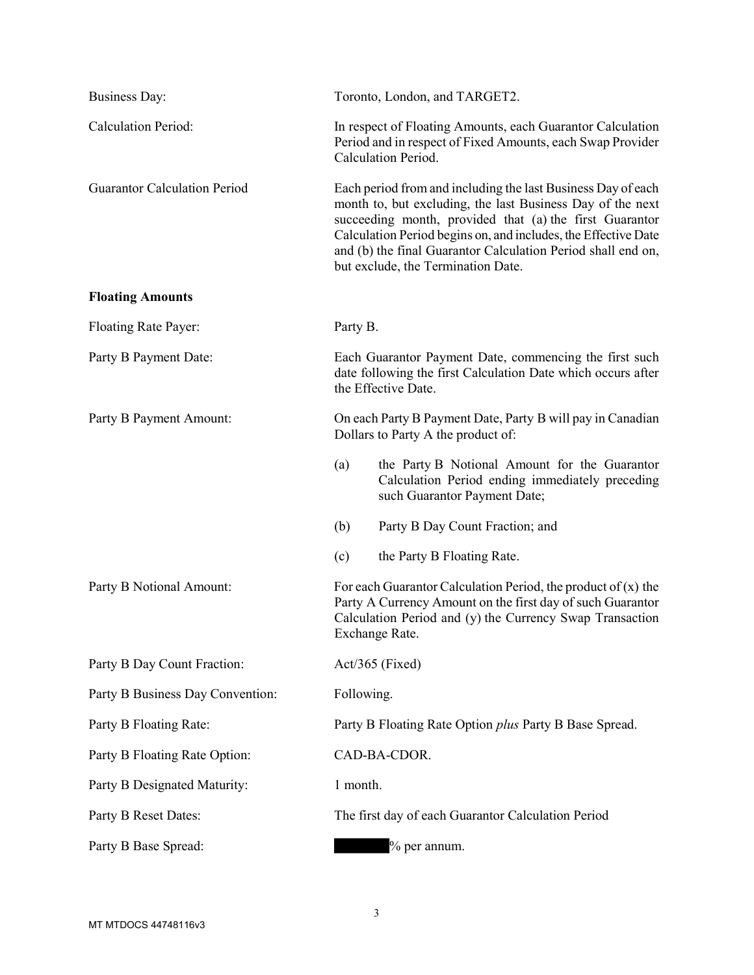| <b>Business Day:</b>                | Toronto, London, and TARGET2.                                                                                                                                                                                                                                                                                                                                 |  |
|-------------------------------------|---------------------------------------------------------------------------------------------------------------------------------------------------------------------------------------------------------------------------------------------------------------------------------------------------------------------------------------------------------------|--|
| Calculation Period:                 | In respect of Floating Amounts, each Guarantor Calculation<br>Period and in respect of Fixed Amounts, each Swap Provider<br>Calculation Period.                                                                                                                                                                                                               |  |
| <b>Guarantor Calculation Period</b> | Each period from and including the last Business Day of each<br>month to, but excluding, the last Business Day of the next<br>succeeding month, provided that (a) the first Guarantor<br>Calculation Period begins on, and includes, the Effective Date<br>and (b) the final Guarantor Calculation Period shall end on,<br>but exclude, the Termination Date. |  |
| <b>Floating Amounts</b>             |                                                                                                                                                                                                                                                                                                                                                               |  |
| Floating Rate Payer:                | Party B.                                                                                                                                                                                                                                                                                                                                                      |  |
| Party B Payment Date:               | Each Guarantor Payment Date, commencing the first such<br>date following the first Calculation Date which occurs after<br>the Effective Date.                                                                                                                                                                                                                 |  |
| Party B Payment Amount:             | On each Party B Payment Date, Party B will pay in Canadian<br>Dollars to Party A the product of:                                                                                                                                                                                                                                                              |  |
|                                     | (a)<br>the Party B Notional Amount for the Guarantor<br>Calculation Period ending immediately preceding<br>such Guarantor Payment Date;                                                                                                                                                                                                                       |  |
|                                     | (b)<br>Party B Day Count Fraction; and                                                                                                                                                                                                                                                                                                                        |  |
|                                     | (c)<br>the Party B Floating Rate.                                                                                                                                                                                                                                                                                                                             |  |
| Party B Notional Amount:            | For each Guarantor Calculation Period, the product of $(x)$ the<br>Party A Currency Amount on the first day of such Guarantor<br>Calculation Period and (y) the Currency Swap Transaction<br>Exchange Rate.                                                                                                                                                   |  |
| Party B Day Count Fraction:         | Act/365 (Fixed)                                                                                                                                                                                                                                                                                                                                               |  |
| Party B Business Day Convention:    | Following.                                                                                                                                                                                                                                                                                                                                                    |  |
| Party B Floating Rate:              | Party B Floating Rate Option plus Party B Base Spread.                                                                                                                                                                                                                                                                                                        |  |
| Party B Floating Rate Option:       | CAD-BA-CDOR.                                                                                                                                                                                                                                                                                                                                                  |  |
| Party B Designated Maturity:        | 1 month.                                                                                                                                                                                                                                                                                                                                                      |  |
| Party B Reset Dates:                | The first day of each Guarantor Calculation Period                                                                                                                                                                                                                                                                                                            |  |
| Party B Base Spread:                | % per annum.                                                                                                                                                                                                                                                                                                                                                  |  |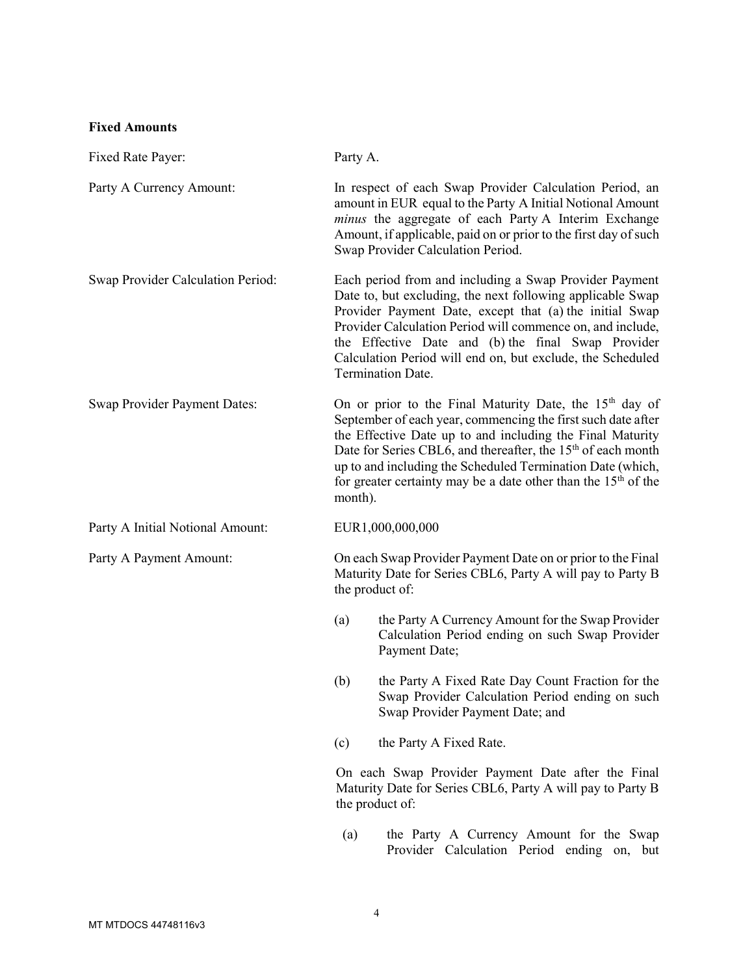## Fixed Amounts

| Fixed Rate Payer:                        | Party A.          |                                                                                                                                                                                                                                                                                                                                                                                                                |  |
|------------------------------------------|-------------------|----------------------------------------------------------------------------------------------------------------------------------------------------------------------------------------------------------------------------------------------------------------------------------------------------------------------------------------------------------------------------------------------------------------|--|
| Party A Currency Amount:                 |                   | In respect of each Swap Provider Calculation Period, an<br>amount in EUR equal to the Party A Initial Notional Amount<br>minus the aggregate of each Party A Interim Exchange<br>Amount, if applicable, paid on or prior to the first day of such<br>Swap Provider Calculation Period.                                                                                                                         |  |
| <b>Swap Provider Calculation Period:</b> | Termination Date. | Each period from and including a Swap Provider Payment<br>Date to, but excluding, the next following applicable Swap<br>Provider Payment Date, except that (a) the initial Swap<br>Provider Calculation Period will commence on, and include,<br>the Effective Date and (b) the final Swap Provider<br>Calculation Period will end on, but exclude, the Scheduled                                              |  |
| <b>Swap Provider Payment Dates:</b>      | month).           | On or prior to the Final Maturity Date, the 15 <sup>th</sup> day of<br>September of each year, commencing the first such date after<br>the Effective Date up to and including the Final Maturity<br>Date for Series CBL6, and thereafter, the 15 <sup>th</sup> of each month<br>up to and including the Scheduled Termination Date (which,<br>for greater certainty may be a date other than the $15th$ of the |  |
| Party A Initial Notional Amount:         | EUR1,000,000,000  |                                                                                                                                                                                                                                                                                                                                                                                                                |  |
| Party A Payment Amount:                  |                   | On each Swap Provider Payment Date on or prior to the Final<br>Maturity Date for Series CBL6, Party A will pay to Party B<br>the product of:                                                                                                                                                                                                                                                                   |  |
|                                          | (a)               | the Party A Currency Amount for the Swap Provider<br>Calculation Period ending on such Swap Provider<br>Payment Date;                                                                                                                                                                                                                                                                                          |  |
|                                          | (b)               | the Party A Fixed Rate Day Count Fraction for the<br>Swap Provider Calculation Period ending on such<br>Swap Provider Payment Date; and                                                                                                                                                                                                                                                                        |  |
|                                          | (c)               | the Party A Fixed Rate.                                                                                                                                                                                                                                                                                                                                                                                        |  |
|                                          | the product of:   | On each Swap Provider Payment Date after the Final<br>Maturity Date for Series CBL6, Party A will pay to Party B                                                                                                                                                                                                                                                                                               |  |
|                                          | (a)               | the Party A Currency Amount for the Swap                                                                                                                                                                                                                                                                                                                                                                       |  |

Provider Calculation Period ending on, but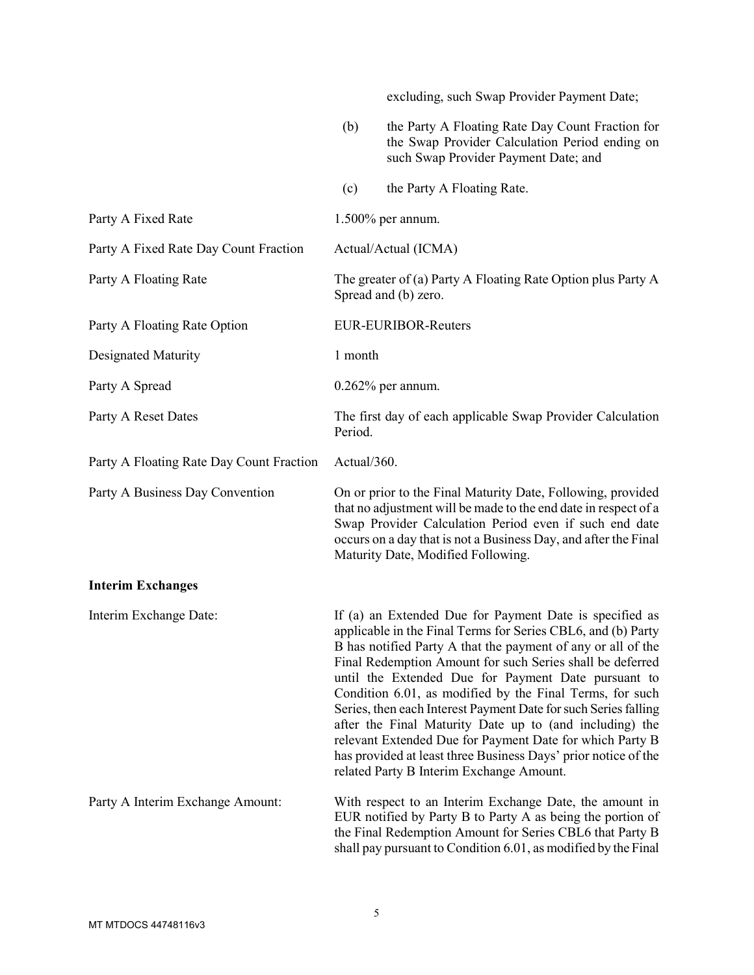|                                          |                                                                                      | excluding, such Swap Provider Payment Date;                                                                                                                                                                                                                                                                                                                                                                                                                                                                                                                                                                                                                                     |
|------------------------------------------|--------------------------------------------------------------------------------------|---------------------------------------------------------------------------------------------------------------------------------------------------------------------------------------------------------------------------------------------------------------------------------------------------------------------------------------------------------------------------------------------------------------------------------------------------------------------------------------------------------------------------------------------------------------------------------------------------------------------------------------------------------------------------------|
|                                          | (b)                                                                                  | the Party A Floating Rate Day Count Fraction for<br>the Swap Provider Calculation Period ending on<br>such Swap Provider Payment Date; and                                                                                                                                                                                                                                                                                                                                                                                                                                                                                                                                      |
|                                          | (c)                                                                                  | the Party A Floating Rate.                                                                                                                                                                                                                                                                                                                                                                                                                                                                                                                                                                                                                                                      |
| Party A Fixed Rate                       |                                                                                      | $1.500\%$ per annum.                                                                                                                                                                                                                                                                                                                                                                                                                                                                                                                                                                                                                                                            |
| Party A Fixed Rate Day Count Fraction    | Actual/Actual (ICMA)                                                                 |                                                                                                                                                                                                                                                                                                                                                                                                                                                                                                                                                                                                                                                                                 |
| Party A Floating Rate                    | The greater of (a) Party A Floating Rate Option plus Party A<br>Spread and (b) zero. |                                                                                                                                                                                                                                                                                                                                                                                                                                                                                                                                                                                                                                                                                 |
| Party A Floating Rate Option             | <b>EUR-EURIBOR-Reuters</b>                                                           |                                                                                                                                                                                                                                                                                                                                                                                                                                                                                                                                                                                                                                                                                 |
| <b>Designated Maturity</b>               | 1 month                                                                              |                                                                                                                                                                                                                                                                                                                                                                                                                                                                                                                                                                                                                                                                                 |
| Party A Spread                           | $0.262\%$ per annum.                                                                 |                                                                                                                                                                                                                                                                                                                                                                                                                                                                                                                                                                                                                                                                                 |
| Party A Reset Dates                      | Period.                                                                              | The first day of each applicable Swap Provider Calculation                                                                                                                                                                                                                                                                                                                                                                                                                                                                                                                                                                                                                      |
| Party A Floating Rate Day Count Fraction | Actual/360.                                                                          |                                                                                                                                                                                                                                                                                                                                                                                                                                                                                                                                                                                                                                                                                 |
| Party A Business Day Convention          |                                                                                      | On or prior to the Final Maturity Date, Following, provided<br>that no adjustment will be made to the end date in respect of a<br>Swap Provider Calculation Period even if such end date<br>occurs on a day that is not a Business Day, and after the Final<br>Maturity Date, Modified Following.                                                                                                                                                                                                                                                                                                                                                                               |
| <b>Interim Exchanges</b>                 |                                                                                      |                                                                                                                                                                                                                                                                                                                                                                                                                                                                                                                                                                                                                                                                                 |
| Interim Exchange Date:                   |                                                                                      | If (a) an Extended Due for Payment Date is specified as<br>applicable in the Final Terms for Series CBL6, and (b) Party<br>B has notified Party A that the payment of any or all of the<br>Final Redemption Amount for such Series shall be deferred<br>until the Extended Due for Payment Date pursuant to<br>Condition 6.01, as modified by the Final Terms, for such<br>Series, then each Interest Payment Date for such Series falling<br>after the Final Maturity Date up to (and including) the<br>relevant Extended Due for Payment Date for which Party B<br>has provided at least three Business Days' prior notice of the<br>related Party B Interim Exchange Amount. |
| Party A Interim Exchange Amount:         |                                                                                      | With respect to an Interim Exchange Date, the amount in<br>EUR notified by Party B to Party A as being the portion of<br>the Final Redemption Amount for Series CBL6 that Party B<br>shall pay pursuant to Condition 6.01, as modified by the Final                                                                                                                                                                                                                                                                                                                                                                                                                             |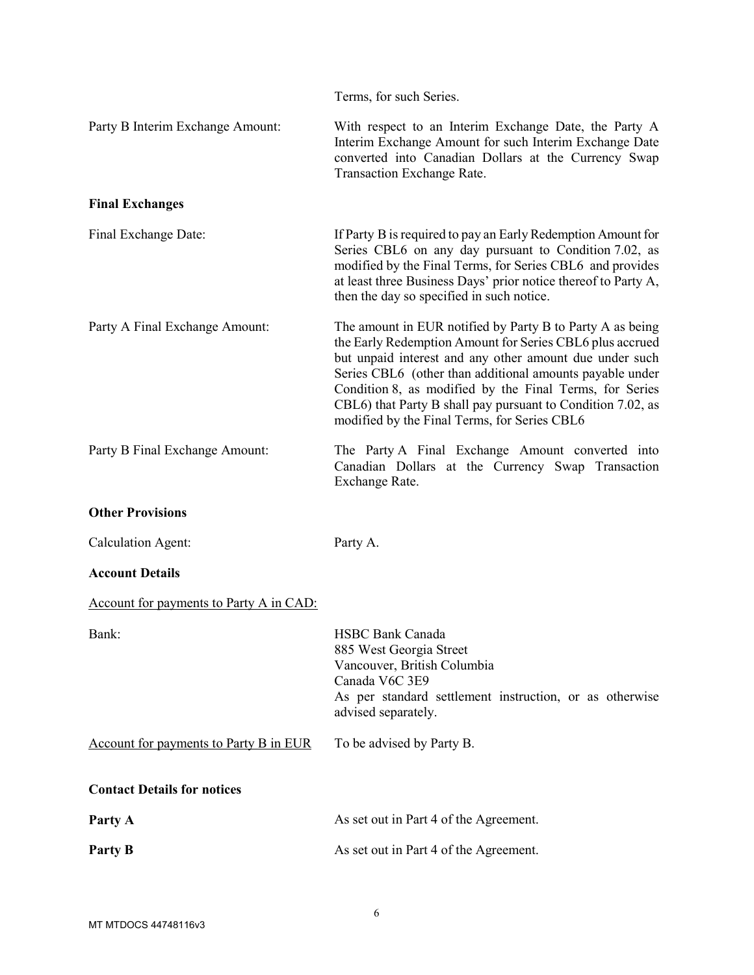|                                                | Terms, for such Series.                                                                                                                                                                                                                                                                                                                                                                                                |
|------------------------------------------------|------------------------------------------------------------------------------------------------------------------------------------------------------------------------------------------------------------------------------------------------------------------------------------------------------------------------------------------------------------------------------------------------------------------------|
| Party B Interim Exchange Amount:               | With respect to an Interim Exchange Date, the Party A<br>Interim Exchange Amount for such Interim Exchange Date<br>converted into Canadian Dollars at the Currency Swap<br>Transaction Exchange Rate.                                                                                                                                                                                                                  |
| <b>Final Exchanges</b>                         |                                                                                                                                                                                                                                                                                                                                                                                                                        |
| Final Exchange Date:                           | If Party B is required to pay an Early Redemption Amount for<br>Series CBL6 on any day pursuant to Condition 7.02, as<br>modified by the Final Terms, for Series CBL6 and provides<br>at least three Business Days' prior notice thereof to Party A,<br>then the day so specified in such notice.                                                                                                                      |
| Party A Final Exchange Amount:                 | The amount in EUR notified by Party B to Party A as being<br>the Early Redemption Amount for Series CBL6 plus accrued<br>but unpaid interest and any other amount due under such<br>Series CBL6 (other than additional amounts payable under<br>Condition 8, as modified by the Final Terms, for Series<br>CBL6) that Party B shall pay pursuant to Condition 7.02, as<br>modified by the Final Terms, for Series CBL6 |
| Party B Final Exchange Amount:                 | The Party A Final Exchange Amount converted into<br>Canadian Dollars at the Currency Swap Transaction<br>Exchange Rate.                                                                                                                                                                                                                                                                                                |
| <b>Other Provisions</b>                        |                                                                                                                                                                                                                                                                                                                                                                                                                        |
| <b>Calculation Agent:</b>                      | Party A.                                                                                                                                                                                                                                                                                                                                                                                                               |
| <b>Account Details</b>                         |                                                                                                                                                                                                                                                                                                                                                                                                                        |
| <b>Account for payments to Party A in CAD:</b> |                                                                                                                                                                                                                                                                                                                                                                                                                        |
| Bank:                                          | <b>HSBC Bank Canada</b><br>885 West Georgia Street<br>Vancouver, British Columbia<br>Canada V6C 3E9<br>As per standard settlement instruction, or as otherwise<br>advised separately.                                                                                                                                                                                                                                  |
| <b>Account for payments to Party B in EUR</b>  | To be advised by Party B.                                                                                                                                                                                                                                                                                                                                                                                              |
| <b>Contact Details for notices</b>             |                                                                                                                                                                                                                                                                                                                                                                                                                        |
| Party A                                        | As set out in Part 4 of the Agreement.                                                                                                                                                                                                                                                                                                                                                                                 |
| Party B                                        | As set out in Part 4 of the Agreement.                                                                                                                                                                                                                                                                                                                                                                                 |